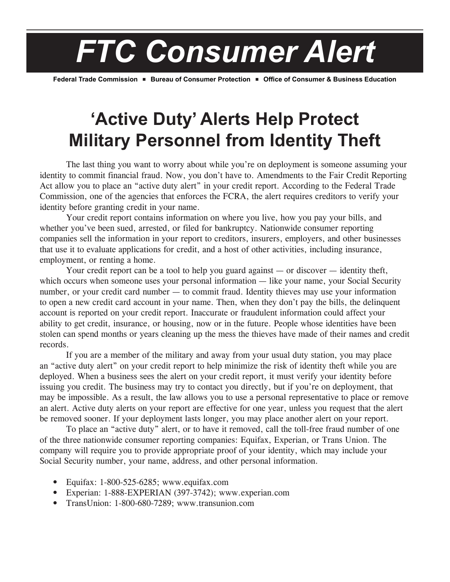*FTC Consumer Alert*

Federal Trade Commission **Bureau of Consumer Protection • Office of Consumer & Business Education** 

## **'Active Duty' Alerts Help Protect Military Personnel from Identity Theft**

 The last thing you want to worry about while you're on deployment is someone assuming your identity to commit financial fraud. Now, you don't have to. Amendments to the Fair Credit Reporting Act allow you to place an "active duty alert" in your credit report. According to the Federal Trade Commission, one of the agencies that enforces the FCRA, the alert requires creditors to verify your identity before granting credit in your name.

 Your credit report contains information on where you live, how you pay your bills, and whether you've been sued, arrested, or filed for bankruptcy. Nationwide consumer reporting companies sell the information in your report to creditors, insurers, employers, and other businesses that use it to evaluate applications for credit, and a host of other activities, including insurance, employment, or renting a home.

Your credit report can be a tool to help you guard against — or discover — identity theft, which occurs when someone uses your personal information — like your name, your Social Security number, or your credit card number — to commit fraud. Identity thieves may use your information to open a new credit card account in your name. Then, when they don't pay the bills, the delinquent account is reported on your credit report. Inaccurate or fraudulent information could affect your ability to get credit, insurance, or housing, now or in the future. People whose identities have been stolen can spend months or years cleaning up the mess the thieves have made of their names and credit records.

 If you are a member of the military and away from your usual duty station, you may place an "active duty alert" on your credit report to help minimize the risk of identity theft while you are deployed. When a business sees the alert on your credit report, it must verify your identity before issuing you credit. The business may try to contact you directly, but if you're on deployment, that may be impossible. As a result, the law allows you to use a personal representative to place or remove an alert. Active duty alerts on your report are effective for one year, unless you request that the alert be removed sooner. If your deployment lasts longer, you may place another alert on your report.

 To place an "active duty" alert, or to have it removed, call the toll-free fraud number of one of the three nationwide consumer reporting companies: Equifax, Experian, or Trans Union. The company will require you to provide appropriate proof of your identity, which may include your Social Security number, your name, address, and other personal information.

- Equifax: 1-800-525-6285; www.equifax.com
- Experian: 1-888-EXPERIAN (397-3742); www.experian.com
- TransUnion: 1-800-680-7289; www.transunion.com